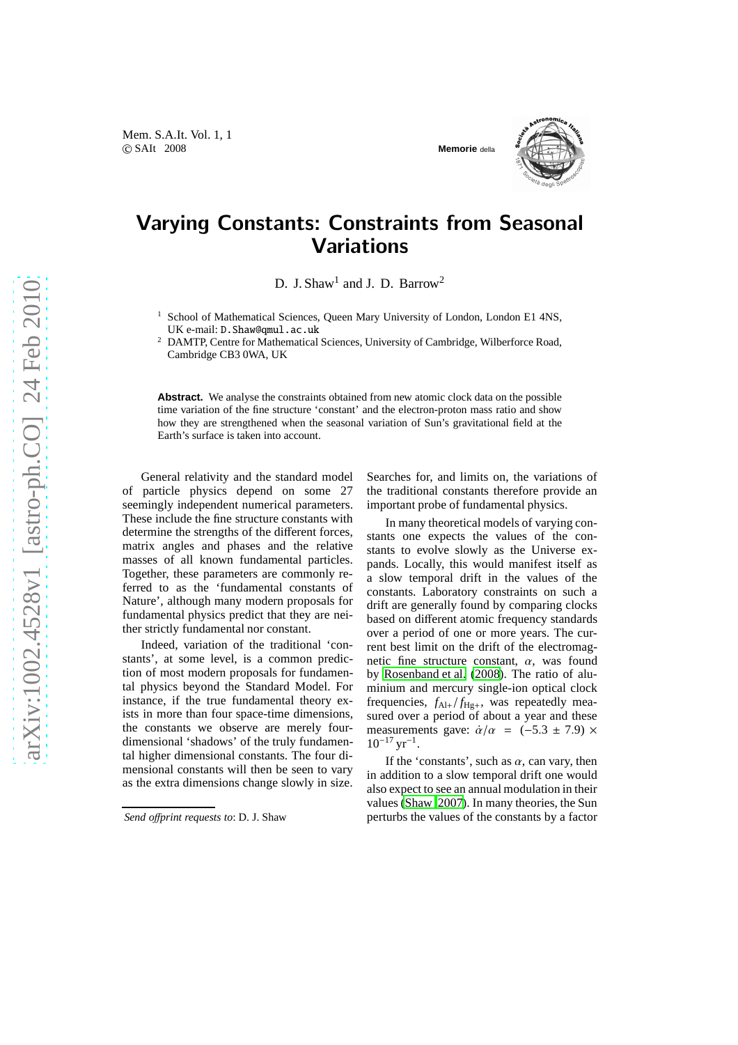



## Varying Constants: Constraints from Seasonal **Variations**

D. J. Shaw<sup>1</sup> and J. D. Barrow<sup>2</sup>

<sup>1</sup> School of Mathematical Sciences, Queen Mary University of London, London E1 4NS, UK e-mail: D.Shaw@qmul.ac.uk

<sup>2</sup> DAMTP, Centre for Mathematical Sciences, University of Cambridge, Wilberforce Road, Cambridge CB3 0WA, UK

**Abstract.** We analyse the constraints obtained from new atomic clock data on the possible time variation of the fine structure 'constant' and the electron-proton mass ratio and show how they are strengthened when the seasonal variation of Sun's gravitational field at the Earth's surface is taken into account.

General relativity and the standard model of particle physics depend on some 27 seemingly independent numerical parameters. These include the fine structure constants with determine the strengths of the different forces, matrix angles and phases and the relative masses of all known fundamental particles. Together, these parameters are commonly referred to as the 'fundamental constants of Nature', although many modern proposals for fundamental physics predict that they are neither strictly fundamental nor constant.

Indeed, variation of the traditional 'constants', at some level, is a common prediction of most modern proposals for fundamental physics beyond the Standard Model. For instance, if the true fundamental theory exists in more than four space-time dimensions, the constants we observe are merely fourdimensional 'shadows' of the truly fundamental higher dimensional constants. The four dimensional constants will then be seen to vary as the extra dimensions change slowly in size.

Searches for, and limits on, the variations of the traditional constants therefore provide an important probe of fundamental physics.

In many theoretical models of varying constants one expects the values of the constants to evolve slowly as the Universe expands. Locally, this would manifest itself as a slow temporal drift in the values of the constants. Laboratory constraints on such a drift are generally found by comparing clocks based on different atomic frequency standards over a period of one or more years. The current best limit on the drift of the electromagnetic fine structure constant,  $\alpha$ , was found by [Rosenband et al. \(2008\)](#page-3-0). The ratio of aluminium and mercury single-ion optical clock frequencies,  $f_{\text{Al}+}/f_{\text{Hg}+}$ , was repeatedly measured over a period of about a year and these measurements gave:  $\dot{\alpha}/\alpha$  = (-5.3 ± 7.9) ×  $10^{-17}$  yr<sup>-1</sup>.

If the 'constants', such as  $\alpha$ , can vary, then in addition to a slow temporal drift one would also expect to see an annual modulation in their values [\(Shaw 2007\)](#page-3-1). In many theories, the Sun perturbs the values of the constants by a factor

*Send o*ff*print requests to*: D. J. Shaw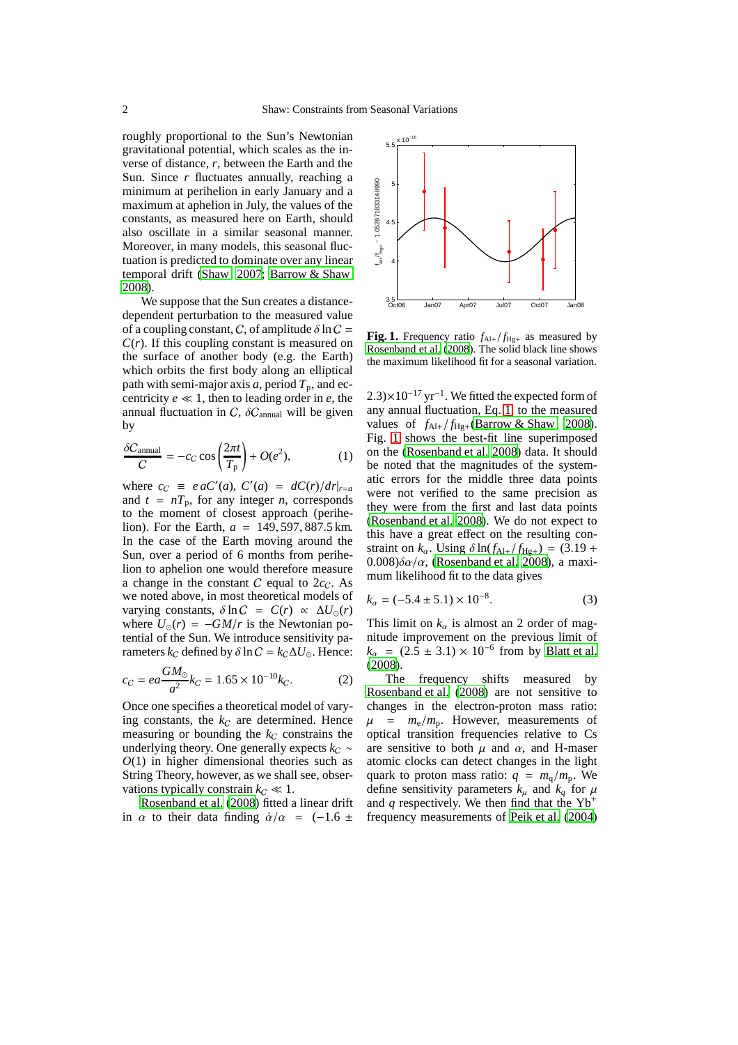roughly proportional to the Sun's Newtonian gravitational potential, which scales as the inverse of distance, *r*, between the Earth and the Sun. Since *r* fluctuates annually, reaching a minimum at perihelion in early January and a maximum at aphelion in July, the values of the constants, as measured here on Earth, should also oscillate in a similar seasonal manner. Moreover, in many models, this seasonal fluctuation is predicted to dominate over any linear temporal drift [\(Shaw 2007;](#page-3-1) [Barrow & Shaw](#page-3-2) [2008\)](#page-3-2).

We suppose that the Sun creates a distancedependent perturbation to the measured value of a coupling constant, C, of amplitude  $\delta$  ln C =  $C(r)$ . If this coupling constant is measured on the surface of another body (e.g. the Earth) which orbits the first body along an elliptical path with semi-major axis *a*, period  $T_p$ , and eccentricity  $e \ll 1$ , then to leading order in  $e$ , the annual fluctuation in  $C$ ,  $\delta C_{\text{annual}}$  will be given by

<span id="page-1-0"></span>
$$
\frac{\delta C_{\text{annual}}}{C} = -c_C \cos \left( \frac{2\pi t}{T_{\text{p}}} \right) + O(e^2),\tag{1}
$$

where  $c_C \equiv e \cdot aC'(a)$ ,  $C'(a) = dC(r)/dr|_{r=a}$ and  $t = nT_p$ , for any integer *n*, corresponds to the moment of closest approach (perihelion). For the Earth, *a* = 149, 597, 887.5 km. In the case of the Earth moving around the Sun, over a period of 6 months from perihelion to aphelion one would therefore measure a change in the constant  $C$  equal to  $2c_C$ . As we noted above, in most theoretical models of varying constants,  $\delta \ln C = C(r) \propto \Delta U_{\odot}(r)$ where  $U_{\odot}(r) = -GM/r$  is the Newtonian potential of the Sun. We introduce sensitivity parameters  $k_C$  defined by  $\delta \ln C = k_C \Delta U_{\odot}$ . Hence:

$$
c_C = ea \frac{GM_\odot}{a^2} k_C = 1.65 \times 10^{-10} k_C.
$$
 (2)

Once one specifies a theoretical model of varying constants, the  $k_C$  are determined. Hence measuring or bounding the  $k<sub>C</sub>$  constrains the underlying theory. One generally expects  $k<sub>C</sub>$  ∼ *O*(1) in higher dimensional theories such as String Theory, however, as we shall see, observations typically constrain  $k_C \ll 1$ .

[Rosenband et al. \(2008\)](#page-3-0) fitted a linear drift in  $\alpha$  to their data finding  $\dot{\alpha}/\alpha$  = (-1.6 ±



<span id="page-1-1"></span>**Fig. 1.** Frequency ratio  $f_{\text{Al+}}/f_{\text{Hg+}}$  as measured by [Rosenband et al.](#page-3-0) [\(2008](#page-3-0)). The solid black line shows the maximum likelihood fit for a seasonal variation.

 $2.3 \times 10^{-17}$  yr<sup>-1</sup>. We fitted the expected form of any annual fluctuation, Eq. [1,](#page-1-0) to the measured values of  $f_{Al+}/f_{Hg+}$ [\(Barrow & Shaw 2008\)](#page-3-2). Fig. [1](#page-1-1) shows the best-fit line superimposed on the [\(Rosenband et al. 2008\)](#page-3-0) data. It should be noted that the magnitudes of the systematic errors for the middle three data points were not verified to the same precision as they were from the first and last data points [\(Rosenband et al. 2008\)](#page-3-0). We do not expect to this have a great effect on the resulting constraint on  $k_{\alpha}$ . Using  $\delta \ln(f_{\text{Al}+}/f_{\text{Hg}+}) = (3.19 +$  $0.008\delta\alpha/\alpha$ , [\(Rosenband et al. 2008](#page-3-0)), a maximum likelihood fit to the data gives

$$
k_{\alpha} = (-5.4 \pm 5.1) \times 10^{-8}.
$$
 (3)

This limit on  $k_{\alpha}$  is almost an 2 order of magnitude improvement on the previous limit of  $k_{\alpha} = (2.5 \pm 3.1) \times 10^{-6}$  from by [Blatt et al.](#page-3-3) [\(2008](#page-3-3)).

The frequency shifts measured by [Rosenband et al. \(2008\)](#page-3-0) are not sensitive to changes in the electron-proton mass ratio:  $\mu$  =  $m_e/m_p$ . However, measurements of optical transition frequencies relative to Cs are sensitive to both  $\mu$  and  $\alpha$ , and H-maser atomic clocks can detect changes in the light quark to proton mass ratio:  $q = m_q/m_p$ . We define sensitivity parameters  $k_{\mu}$  and  $k_{q}$  for  $\mu$ and *q* respectively. We then find that the  $Yb^+$ frequency measurements of [Peik et al. \(2004](#page-3-4))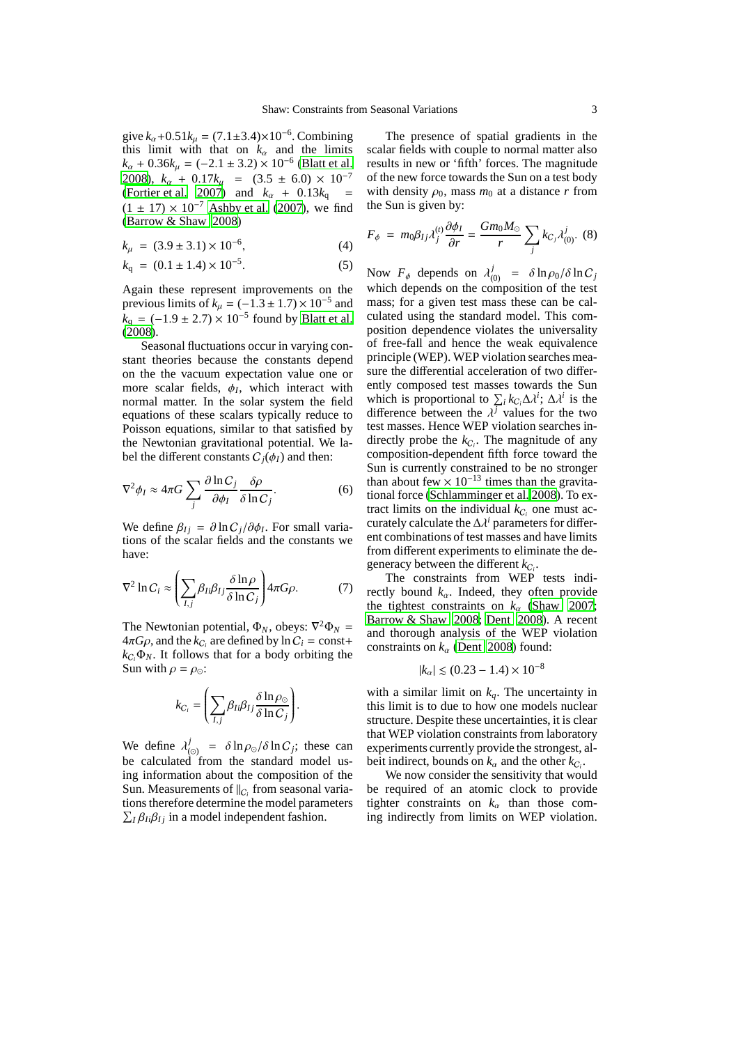give  $k_{\alpha}$ +0.51 $k_{\mu}$  = (7.1±3.4)×10<sup>-6</sup>. Combining this limit with that on  $k_{\alpha}$  and the limits  $k_{\alpha} + 0.36k_{\mu} = (-2.1 \pm 3.2) \times 10^{-6}$  [\(Blatt et al.](#page-3-3) [2008\)](#page-3-3),  $k_{\alpha}$  + 0.17 $k_{\mu}$  = (3.5 ± 6.0) × 10<sup>-7</sup> [\(Fortier et al. 2007\)](#page-3-5) and  $k_\alpha + 0.13k_\alpha =$  $(1 \pm 17) \times 10^{-7}$  [Ashby et al.](#page-3-6) [\(2007\)](#page-3-6), we find [\(Barrow & Shaw 2008\)](#page-3-2)

$$
k_{\mu} = (3.9 \pm 3.1) \times 10^{-6}, \tag{4}
$$

$$
k_{\rm q} = (0.1 \pm 1.4) \times 10^{-5}.
$$
 (5)

Again these represent improvements on the previous limits of  $k_{\mu} = (-1.3 \pm 1.7) \times 10^{-5}$  and  $k_q = (-1.9 \pm 2.7) \times 10^{-5}$  found by [Blatt et al.](#page-3-3) [\(2008](#page-3-3)).

Seasonal fluctuations occur in varying constant theories because the constants depend on the the vacuum expectation value one or more scalar fields,  $\phi$ <sub>*I*</sub>, which interact with normal matter. In the solar system the field equations of these scalars typically reduce to Poisson equations, similar to that satisfied by the Newtonian gravitational potential. We label the different constants  $C_i(\phi_I)$  and then:

$$
\nabla^2 \phi_I \approx 4\pi G \sum_j \frac{\partial \ln C_j}{\partial \phi_I} \frac{\delta \rho}{\delta \ln C_j}.
$$
 (6)

We define  $\beta_{Ij} = \partial \ln C_j / \partial \phi_I$ . For small variations of the scalar fields and the constants we have:

$$
\nabla^2 \ln C_i \approx \left( \sum_{I,j} \beta_{Ii} \beta_{Ij} \frac{\delta \ln \rho}{\delta \ln C_j} \right) 4\pi G \rho. \tag{7}
$$

The Newtonian potential,  $\Phi_N$ , obeys:  $\nabla^2 \Phi_N$  =  $4\pi G\rho$ , and the  $k_{C_i}$  are defined by  $\ln C_i = \text{const}+$  $k_{C_i}\Phi_N$ . It follows that for a body orbiting the Sun with  $\rho = \rho_{\odot}$ :

$$
k_{C_i} = \left(\sum_{I,j} \beta_{Ii} \beta_{Ij} \frac{\delta \ln \rho_{\odot}}{\delta \ln C_j}\right).
$$

We define  $\lambda_i^j$  $\int_{(0)}^J = \delta \ln \rho_{\odot} / \delta \ln C_j$ ; these can be calculated from the standard model using information about the composition of the Sun. Measurements of  $||_{C_i}$  from seasonal variations therefore determine the model parameters  $\sum_{I} \beta_{I} \beta_{Ij}$  in a model independent fashion.

The presence of spatial gradients in the scalar fields with couple to normal matter also results in new or 'fifth' forces. The magnitude of the new force towards the Sun on a test body with density  $\rho_0$ , mass  $m_0$  at a distance r from the Sun is given by:

$$
F_{\phi} = m_0 \beta_{Ij} \lambda_j^{(t)} \frac{\partial \phi_I}{\partial r} = \frac{Gm_0 M_{\odot}}{r} \sum_j k_{C_j} \lambda_{(0)}^j. (8)
$$

Now  $F_{\phi}$  depends on  $\lambda_{(0)}^j = \delta \ln \rho_0 / \delta \ln C_j$ which depends on the composition of the test mass; for a given test mass these can be calculated using the standard model. This composition dependence violates the universality of free-fall and hence the weak equivalence principle (WEP). WEP violation searches measure the differential acceleration of two differently composed test masses towards the Sun which is proportional to  $\sum_i k_{C_i} \Delta \lambda^i$ ;  $\Delta \lambda^i$  is the difference between the  $\lambda^{j}$  values for the two test masses. Hence WEP violation searches indirectly probe the  $k_{C_i}$ . The magnitude of any composition-dependent fifth force toward the Sun is currently constrained to be no stronger than about few  $\times 10^{-13}$  times than the gravitational force [\(Schlamminger et al. 2008\)](#page-3-7). To extract limits on the individual  $k_{C_i}$  one must accurately calculate the  $\Delta \lambda^i$  parameters for different combinations of test masses and have limits from different experiments to eliminate the degeneracy between the different  $k_{C_i}$ .

The constraints from WEP tests indirectly bound  $k_{\alpha}$ . Indeed, they often provide the tightest constraints on  $k_\alpha$  [\(Shaw 2007;](#page-3-1) [Barrow & Shaw 2008](#page-3-2); [Dent 2008\)](#page-3-8). A recent and thorough analysis of the WEP violation constraints on  $k_\alpha$  [\(Dent 2008](#page-3-8)) found:

$$
|k_{\alpha}| \lesssim (0.23 - 1.4) \times 10^{-8}
$$

with a similar limit on  $k_q$ . The uncertainty in this limit is to due to how one models nuclear structure. Despite these uncertainties, it is clear that WEP violation constraints from laboratory experiments currently provide the strongest, albeit indirect, bounds on  $k_{\alpha}$  and the other  $k_{C_i}$ .

We now consider the sensitivity that would be required of an atomic clock to provide tighter constraints on  $k_\alpha$  than those coming indirectly from limits on WEP violation.